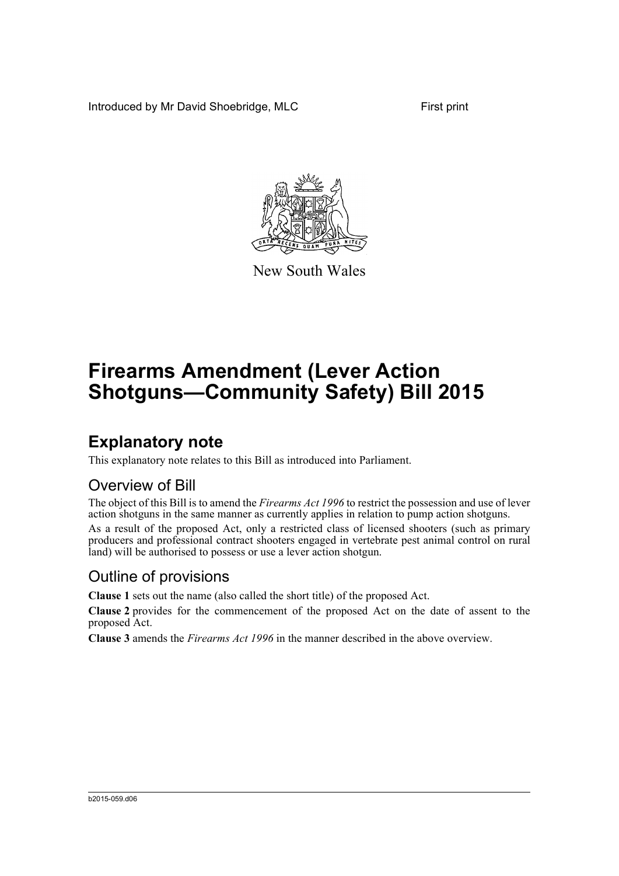Introduced by Mr David Shoebridge, MLC First print



New South Wales

# **Firearms Amendment (Lever Action Shotguns—Community Safety) Bill 2015**

### **Explanatory note**

This explanatory note relates to this Bill as introduced into Parliament.

#### Overview of Bill

The object of this Bill is to amend the *Firearms Act 1996* to restrict the possession and use of lever action shotguns in the same manner as currently applies in relation to pump action shotguns.

As a result of the proposed Act, only a restricted class of licensed shooters (such as primary producers and professional contract shooters engaged in vertebrate pest animal control on rural land) will be authorised to possess or use a lever action shotgun.

#### Outline of provisions

**Clause 1** sets out the name (also called the short title) of the proposed Act.

**Clause 2** provides for the commencement of the proposed Act on the date of assent to the proposed Act.

**Clause 3** amends the *Firearms Act 1996* in the manner described in the above overview.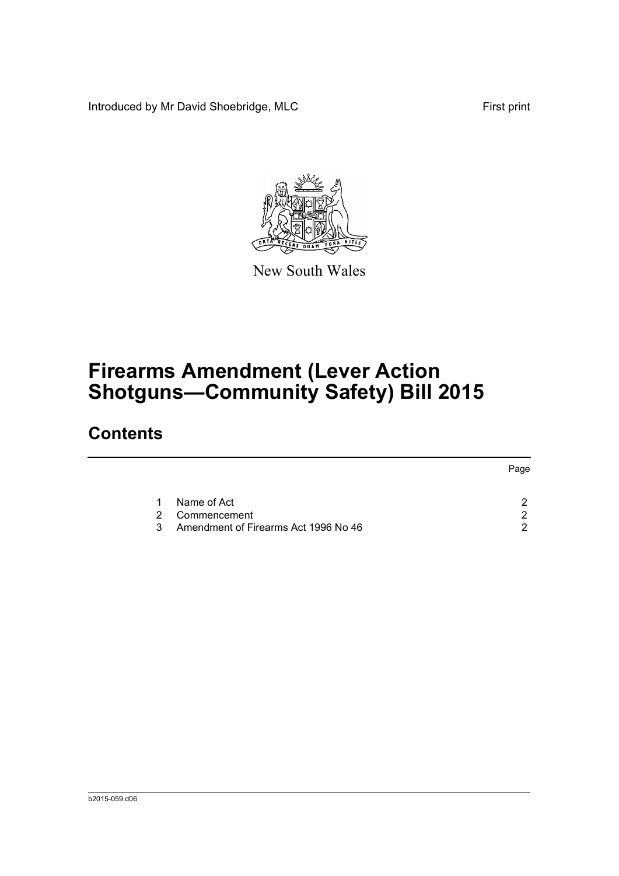Introduced by Mr David Shoebridge, MLC First print



New South Wales

# **Firearms Amendment (Lever Action Shotguns—Community Safety) Bill 2015**

## **Contents**

|   |                                      | Page |
|---|--------------------------------------|------|
|   | Name of Act                          |      |
| 2 | Commencement                         | ົ    |
| 3 | Amendment of Firearms Act 1996 No 46 | ◠    |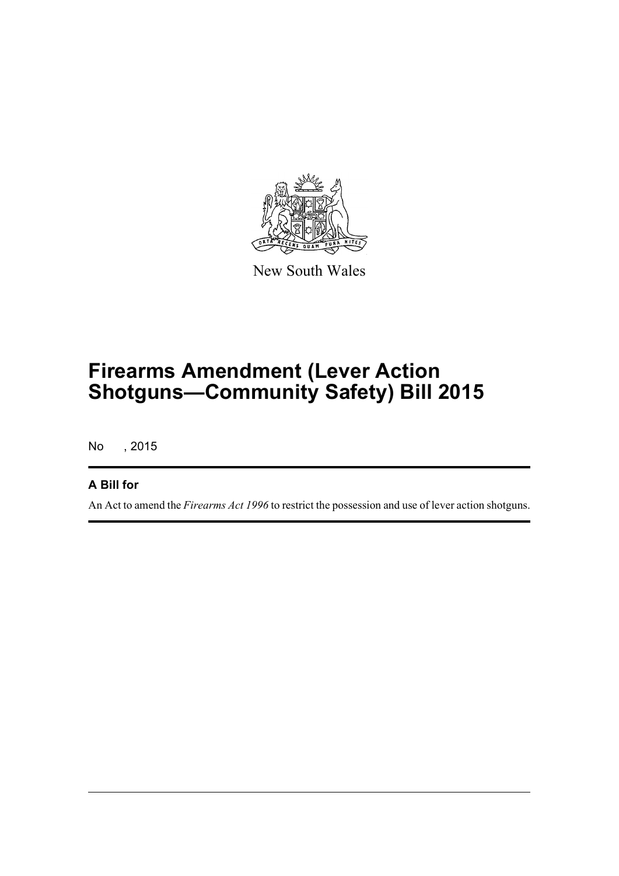

New South Wales

# **Firearms Amendment (Lever Action Shotguns—Community Safety) Bill 2015**

No , 2015

#### **A Bill for**

An Act to amend the *Firearms Act 1996* to restrict the possession and use of lever action shotguns.